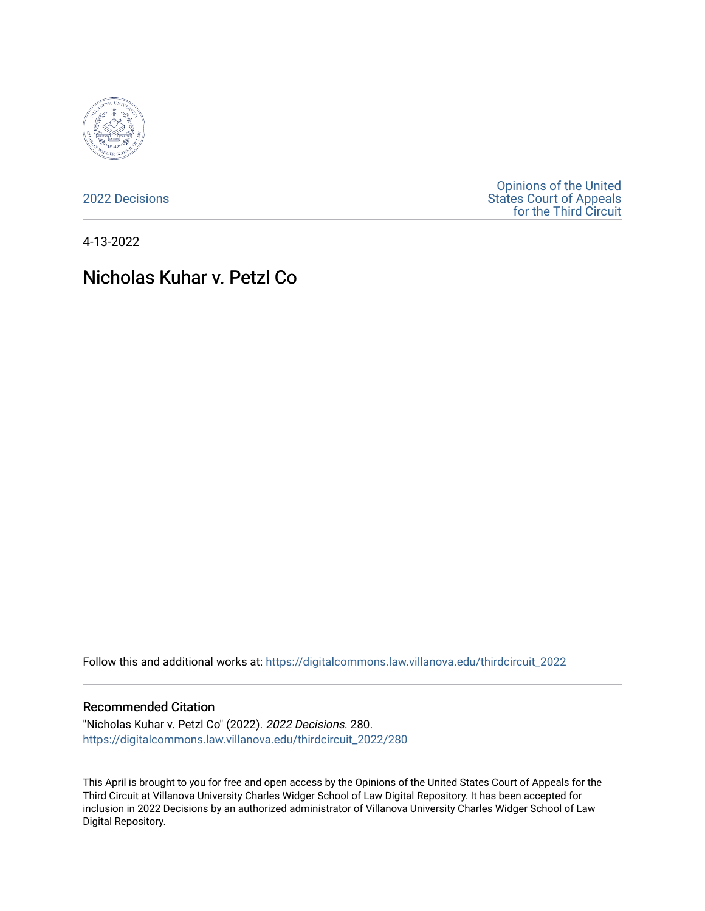

[2022 Decisions](https://digitalcommons.law.villanova.edu/thirdcircuit_2022)

[Opinions of the United](https://digitalcommons.law.villanova.edu/thirdcircuit)  [States Court of Appeals](https://digitalcommons.law.villanova.edu/thirdcircuit)  [for the Third Circuit](https://digitalcommons.law.villanova.edu/thirdcircuit) 

4-13-2022

# Nicholas Kuhar v. Petzl Co

Follow this and additional works at: [https://digitalcommons.law.villanova.edu/thirdcircuit\\_2022](https://digitalcommons.law.villanova.edu/thirdcircuit_2022?utm_source=digitalcommons.law.villanova.edu%2Fthirdcircuit_2022%2F280&utm_medium=PDF&utm_campaign=PDFCoverPages) 

#### Recommended Citation

"Nicholas Kuhar v. Petzl Co" (2022). 2022 Decisions. 280. [https://digitalcommons.law.villanova.edu/thirdcircuit\\_2022/280](https://digitalcommons.law.villanova.edu/thirdcircuit_2022/280?utm_source=digitalcommons.law.villanova.edu%2Fthirdcircuit_2022%2F280&utm_medium=PDF&utm_campaign=PDFCoverPages)

This April is brought to you for free and open access by the Opinions of the United States Court of Appeals for the Third Circuit at Villanova University Charles Widger School of Law Digital Repository. It has been accepted for inclusion in 2022 Decisions by an authorized administrator of Villanova University Charles Widger School of Law Digital Repository.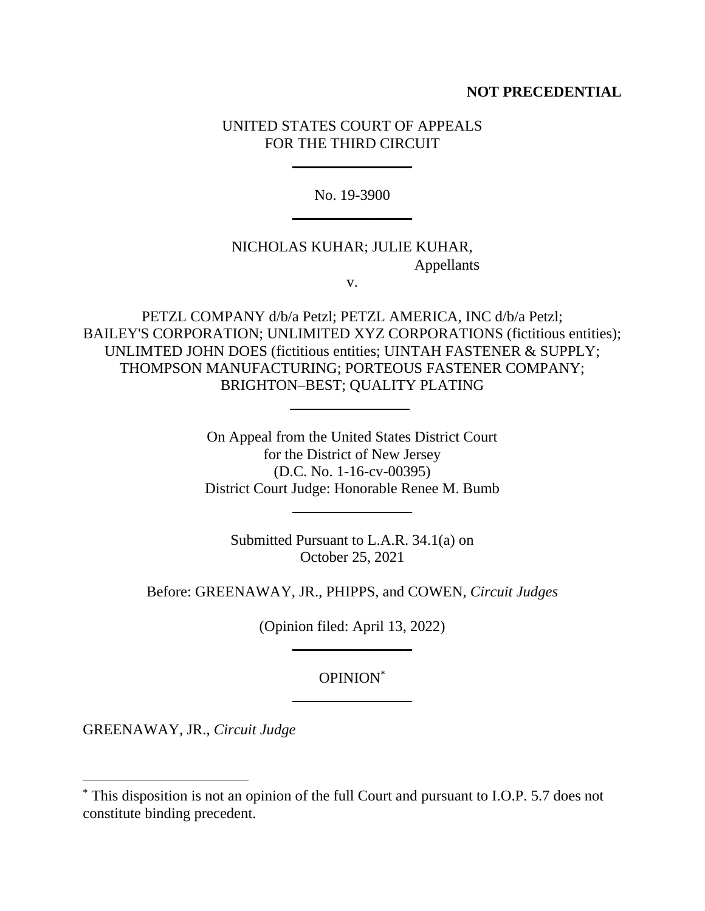## **NOT PRECEDENTIAL**

# UNITED STATES COURT OF APPEALS FOR THE THIRD CIRCUIT

\_\_\_\_\_\_\_\_\_\_\_\_\_\_\_\_

No. 19-3900  $\overline{\phantom{a}}$ 

# NICHOLAS KUHAR; JULIE KUHAR, Appellants

v.

PETZL COMPANY d/b/a Petzl; PETZL AMERICA, INC d/b/a Petzl; BAILEY'S CORPORATION; UNLIMITED XYZ CORPORATIONS (fictitious entities); UNLIMTED JOHN DOES (fictitious entities; UINTAH FASTENER & SUPPLY; THOMPSON MANUFACTURING; PORTEOUS FASTENER COMPANY; BRIGHTON–BEST; QUALITY PLATING \_\_\_\_\_\_\_\_\_\_\_\_\_\_\_\_

> On Appeal from the United States District Court for the District of New Jersey (D.C. No. 1-16-cv-00395) District Court Judge: Honorable Renee M. Bumb

> > $\overline{\phantom{a}}$

Submitted Pursuant to L.A.R. 34.1(a) on October 25, 2021

Before: GREENAWAY, JR., PHIPPS, and COWEN, *Circuit Judges*

(Opinion filed: April 13, 2022)  $\overline{\phantom{a}}$ 

# OPINION\*  $\frac{1}{2}$  , where  $\frac{1}{2}$  , where  $\frac{1}{2}$

GREENAWAY, JR., *Circuit Judge*

<sup>\*</sup> This disposition is not an opinion of the full Court and pursuant to I.O.P. 5.7 does not constitute binding precedent.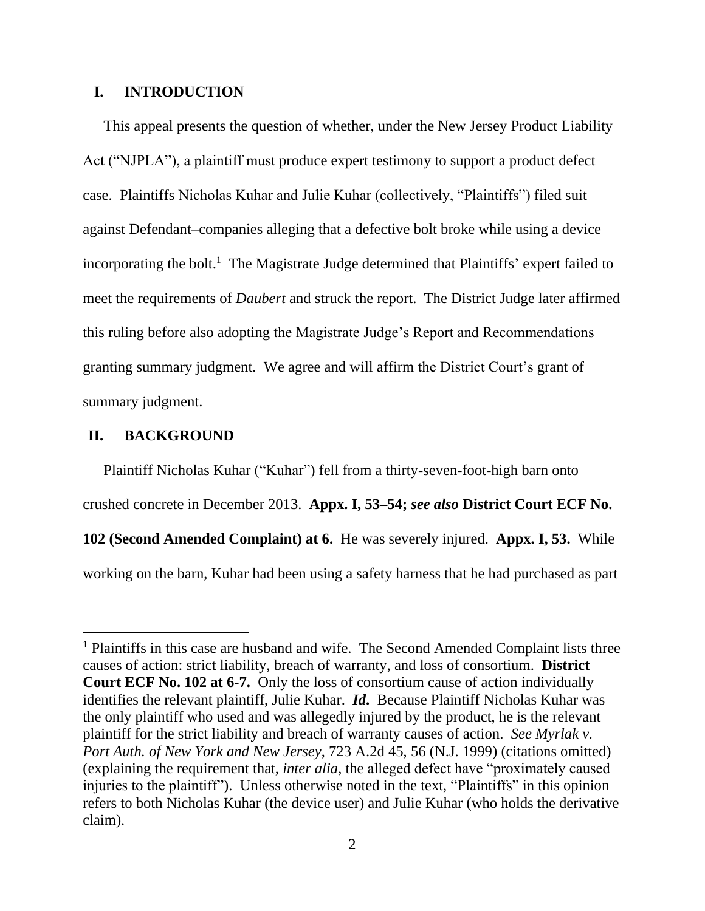# **I. INTRODUCTION**

This appeal presents the question of whether, under the New Jersey Product Liability Act ("NJPLA"), a plaintiff must produce expert testimony to support a product defect case. Plaintiffs Nicholas Kuhar and Julie Kuhar (collectively, "Plaintiffs") filed suit against Defendant–companies alleging that a defective bolt broke while using a device incorporating the bolt. <sup>1</sup> The Magistrate Judge determined that Plaintiffs' expert failed to meet the requirements of *Daubert* and struck the report. The District Judge later affirmed this ruling before also adopting the Magistrate Judge's Report and Recommendations granting summary judgment. We agree and will affirm the District Court's grant of summary judgment.

### **II. BACKGROUND**

Plaintiff Nicholas Kuhar ("Kuhar") fell from a thirty-seven-foot-high barn onto crushed concrete in December 2013. **Appx. I, 53–54;** *see also* **District Court ECF No. 102 (Second Amended Complaint) at 6.** He was severely injured. **Appx. I, 53.** While working on the barn, Kuhar had been using a safety harness that he had purchased as part

<sup>1</sup> Plaintiffs in this case are husband and wife. The Second Amended Complaint lists three causes of action: strict liability, breach of warranty, and loss of consortium. **District Court ECF No. 102 at 6-7.** Only the loss of consortium cause of action individually identifies the relevant plaintiff, Julie Kuhar. *Id***.** Because Plaintiff Nicholas Kuhar was the only plaintiff who used and was allegedly injured by the product, he is the relevant plaintiff for the strict liability and breach of warranty causes of action. *See Myrlak v. Port Auth. of New York and New Jersey*, 723 A.2d 45, 56 (N.J. 1999) (citations omitted) (explaining the requirement that, *inter alia*, the alleged defect have "proximately caused injuries to the plaintiff"). Unless otherwise noted in the text, "Plaintiffs" in this opinion refers to both Nicholas Kuhar (the device user) and Julie Kuhar (who holds the derivative claim).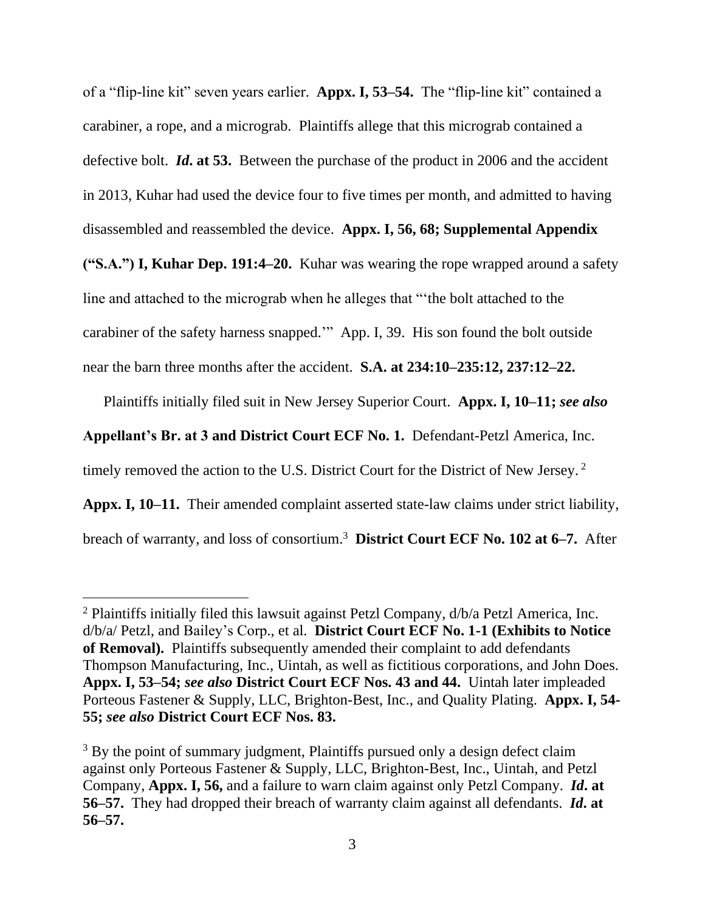of a "flip-line kit" seven years earlier. **Appx. I, 53–54.** The "flip-line kit" contained a carabiner, a rope, and a micrograb. Plaintiffs allege that this micrograb contained a defective bolt. *Id***. at 53.** Between the purchase of the product in 2006 and the accident in 2013, Kuhar had used the device four to five times per month, and admitted to having

disassembled and reassembled the device. **Appx. I, 56, 68; Supplemental Appendix** 

**("S.A.") I, Kuhar Dep. 191:4–20.** Kuhar was wearing the rope wrapped around a safety

line and attached to the micrograb when he alleges that "'the bolt attached to the

carabiner of the safety harness snapped.'" App. I, 39. His son found the bolt outside

near the barn three months after the accident. **S.A. at 234:10–235:12, 237:12–22.**

Plaintiffs initially filed suit in New Jersey Superior Court. **Appx. I, 10–11;** *see also* 

**Appellant's Br. at 3 and District Court ECF No. 1.** Defendant-Petzl America, Inc.

timely removed the action to the U.S. District Court for the District of New Jersey.<sup>2</sup>

**Appx. I, 10–11.** Their amended complaint asserted state-law claims under strict liability, breach of warranty, and loss of consortium. 3 **District Court ECF No. 102 at 6–7.** After

<sup>2</sup> Plaintiffs initially filed this lawsuit against Petzl Company, d/b/a Petzl America, Inc. d/b/a/ Petzl, and Bailey's Corp., et al. **District Court ECF No. 1-1 (Exhibits to Notice of Removal).** Plaintiffs subsequently amended their complaint to add defendants Thompson Manufacturing, Inc., Uintah, as well as fictitious corporations, and John Does. **Appx. I, 53–54;** *see also* **District Court ECF Nos. 43 and 44.** Uintah later impleaded Porteous Fastener & Supply, LLC, Brighton-Best, Inc., and Quality Plating. **Appx. I, 54- 55;** *see also* **District Court ECF Nos. 83.**

<sup>&</sup>lt;sup>3</sup> By the point of summary judgment, Plaintiffs pursued only a design defect claim against only Porteous Fastener & Supply, LLC, Brighton-Best, Inc., Uintah, and Petzl Company, **Appx. I, 56,** and a failure to warn claim against only Petzl Company. *Id***. at 56–57.** They had dropped their breach of warranty claim against all defendants. *Id***. at 56–57.**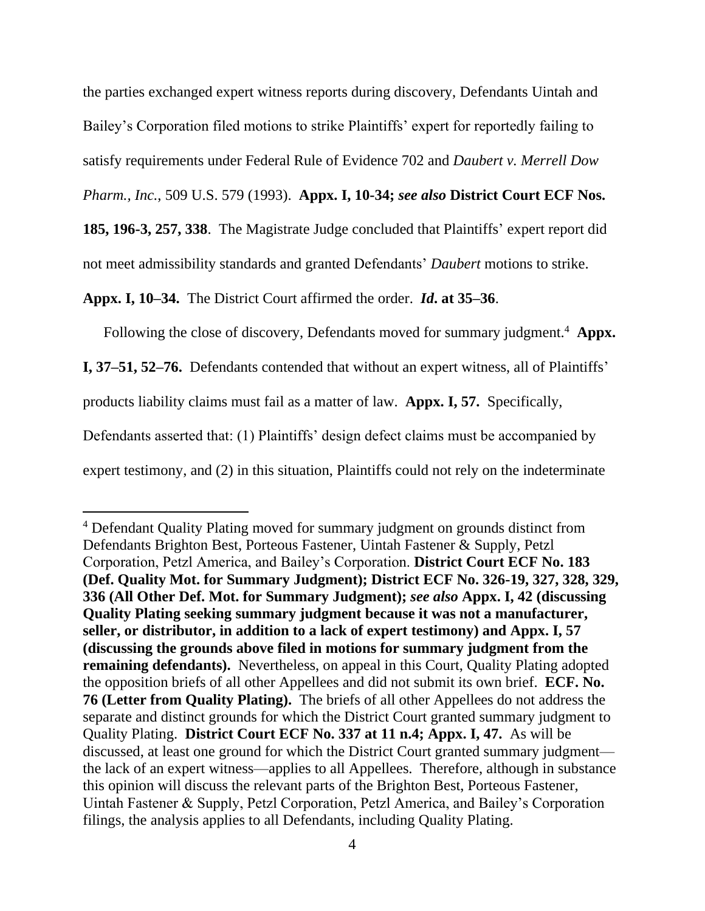the parties exchanged expert witness reports during discovery, Defendants Uintah and Bailey's Corporation filed motions to strike Plaintiffs' expert for reportedly failing to satisfy requirements under Federal Rule of Evidence 702 and *Daubert v. Merrell Dow* 

*Pharm., Inc.*, 509 U.S. 579 (1993). **Appx. I, 10-34;** *see also* **District Court ECF Nos.** 

**185, 196-3, 257, 338**. The Magistrate Judge concluded that Plaintiffs' expert report did not meet admissibility standards and granted Defendants' *Daubert* motions to strike.

**Appx. I, 10–34.** The District Court affirmed the order. *Id***. at 35–36**.

Following the close of discovery, Defendants moved for summary judgment.<sup>4</sup> Appx.

**I, 37–51, 52–76.** Defendants contended that without an expert witness, all of Plaintiffs'

products liability claims must fail as a matter of law. **Appx. I, 57.** Specifically,

Defendants asserted that: (1) Plaintiffs' design defect claims must be accompanied by

expert testimony, and (2) in this situation, Plaintiffs could not rely on the indeterminate

<sup>4</sup> Defendant Quality Plating moved for summary judgment on grounds distinct from Defendants Brighton Best, Porteous Fastener, Uintah Fastener & Supply, Petzl Corporation, Petzl America, and Bailey's Corporation. **District Court ECF No. 183 (Def. Quality Mot. for Summary Judgment); District ECF No. 326-19, 327, 328, 329, 336 (All Other Def. Mot. for Summary Judgment);** *see also* **Appx. I, 42 (discussing Quality Plating seeking summary judgment because it was not a manufacturer, seller, or distributor, in addition to a lack of expert testimony) and Appx. I, 57 (discussing the grounds above filed in motions for summary judgment from the remaining defendants).** Nevertheless, on appeal in this Court, Quality Plating adopted the opposition briefs of all other Appellees and did not submit its own brief. **ECF. No. 76 (Letter from Quality Plating).** The briefs of all other Appellees do not address the separate and distinct grounds for which the District Court granted summary judgment to Quality Plating. **District Court ECF No. 337 at 11 n.4; Appx. I, 47.** As will be discussed, at least one ground for which the District Court granted summary judgment the lack of an expert witness—applies to all Appellees. Therefore, although in substance this opinion will discuss the relevant parts of the Brighton Best, Porteous Fastener, Uintah Fastener & Supply, Petzl Corporation, Petzl America, and Bailey's Corporation filings, the analysis applies to all Defendants, including Quality Plating.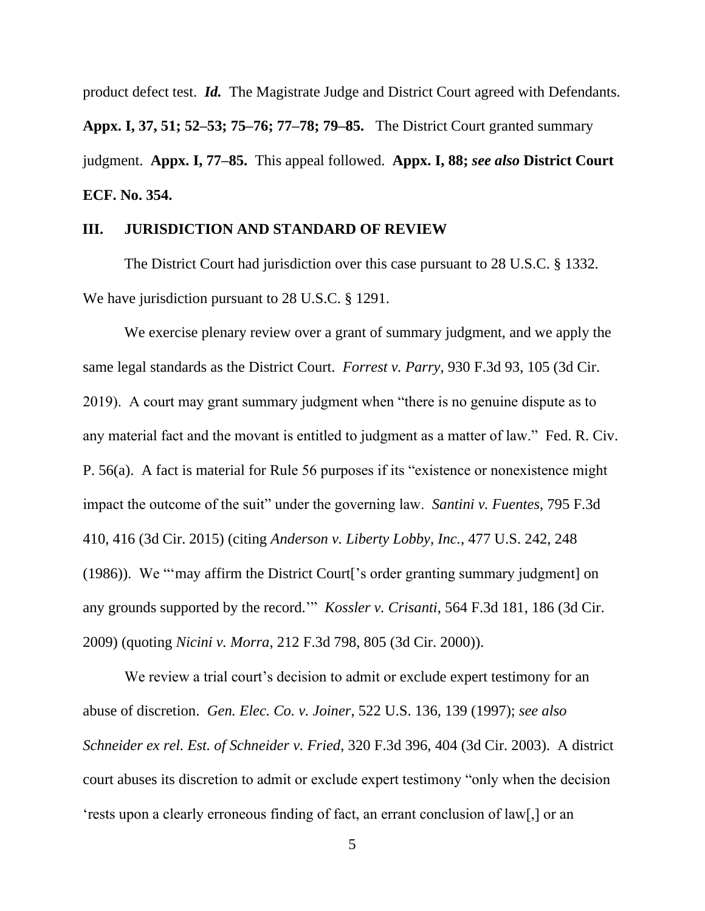product defect test. *Id.* The Magistrate Judge and District Court agreed with Defendants. **Appx. I, 37, 51; 52–53; 75–76; 77–78; 79–85.** The District Court granted summary judgment. **Appx. I, 77–85.** This appeal followed. **Appx. I, 88;** *see also* **District Court ECF. No. 354.**

## **III. JURISDICTION AND STANDARD OF REVIEW**

The District Court had jurisdiction over this case pursuant to 28 U.S.C. § 1332. We have jurisdiction pursuant to 28 U.S.C. § 1291.

We exercise plenary review over a grant of summary judgment, and we apply the same legal standards as the District Court. *Forrest v. Parry*, 930 F.3d 93, 105 (3d Cir. 2019). A court may grant summary judgment when "there is no genuine dispute as to any material fact and the movant is entitled to judgment as a matter of law." Fed. R. Civ. P. 56(a). A fact is material for Rule 56 purposes if its "existence or nonexistence might impact the outcome of the suit" under the governing law. *Santini v. Fuentes*, 795 F.3d 410, 416 (3d Cir. 2015) (citing *Anderson v. Liberty Lobby, Inc.*, 477 U.S. 242, 248 (1986)). We "'may affirm the District Court['s order granting summary judgment] on any grounds supported by the record.'" *Kossler v. Crisanti*, 564 F.3d 181, 186 (3d Cir. 2009) (quoting *Nicini v. Morra*, 212 F.3d 798, 805 (3d Cir. 2000)).

We review a trial court's decision to admit or exclude expert testimony for an abuse of discretion. *Gen. Elec. Co. v. Joiner*, 522 U.S. 136, 139 (1997); *see also Schneider ex rel. Est. of Schneider v. Fried*, 320 F.3d 396, 404 (3d Cir. 2003). A district court abuses its discretion to admit or exclude expert testimony "only when the decision 'rests upon a clearly erroneous finding of fact, an errant conclusion of law[,] or an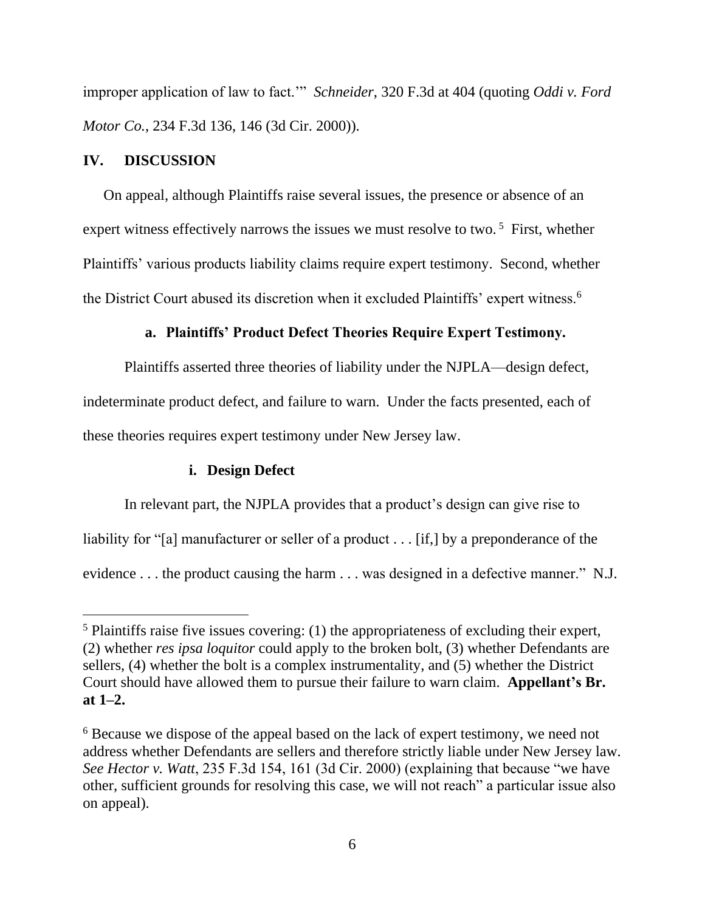improper application of law to fact.'" *Schneider*, 320 F.3d at 404 (quoting *Oddi v. Ford Motor Co.*, 234 F.3d 136, 146 (3d Cir. 2000)).

### **IV. DISCUSSION**

On appeal, although Plaintiffs raise several issues, the presence or absence of an expert witness effectively narrows the issues we must resolve to two.<sup>5</sup> First, whether Plaintiffs' various products liability claims require expert testimony. Second, whether the District Court abused its discretion when it excluded Plaintiffs' expert witness.<sup>6</sup>

# **a. Plaintiffs' Product Defect Theories Require Expert Testimony.**

Plaintiffs asserted three theories of liability under the NJPLA—design defect, indeterminate product defect, and failure to warn. Under the facts presented, each of these theories requires expert testimony under New Jersey law.

# **i. Design Defect**

In relevant part, the NJPLA provides that a product's design can give rise to liability for "[a] manufacturer or seller of a product . . . [if.] by a preponderance of the evidence . . . the product causing the harm . . . was designed in a defective manner." N.J.

<sup>5</sup> Plaintiffs raise five issues covering: (1) the appropriateness of excluding their expert, (2) whether *res ipsa loquitor* could apply to the broken bolt, (3) whether Defendants are sellers, (4) whether the bolt is a complex instrumentality, and (5) whether the District Court should have allowed them to pursue their failure to warn claim. **Appellant's Br. at 1–2.**

<sup>6</sup> Because we dispose of the appeal based on the lack of expert testimony, we need not address whether Defendants are sellers and therefore strictly liable under New Jersey law. *See Hector v. Watt*, 235 F.3d 154, 161 (3d Cir. 2000) (explaining that because "we have other, sufficient grounds for resolving this case, we will not reach" a particular issue also on appeal).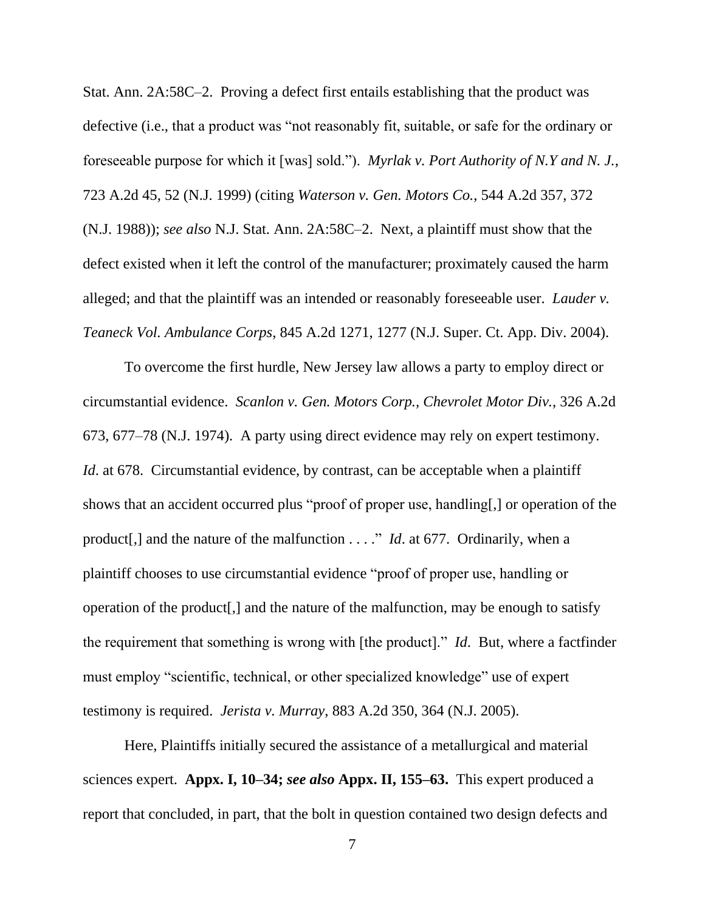Stat. Ann. 2A:58C–2. Proving a defect first entails establishing that the product was defective (i.e., that a product was "not reasonably fit, suitable, or safe for the ordinary or foreseeable purpose for which it [was] sold."). *Myrlak v. Port Authority of N.Y and N. J.*, 723 A.2d 45, 52 (N.J. 1999) (citing *Waterson v. Gen. Motors Co.*, 544 A.2d 357, 372 (N.J. 1988)); *see also* N.J. Stat. Ann. 2A:58C–2. Next, a plaintiff must show that the defect existed when it left the control of the manufacturer; proximately caused the harm alleged; and that the plaintiff was an intended or reasonably foreseeable user. *Lauder v. Teaneck Vol. Ambulance Corps*, 845 A.2d 1271, 1277 (N.J. Super. Ct. App. Div. 2004).

To overcome the first hurdle, New Jersey law allows a party to employ direct or circumstantial evidence. *Scanlon v. Gen. Motors Corp., Chevrolet Motor Div.*, 326 A.2d 673, 677–78 (N.J. 1974). A party using direct evidence may rely on expert testimony. *Id.* at 678. Circumstantial evidence, by contrast, can be acceptable when a plaintiff shows that an accident occurred plus "proof of proper use, handling[,] or operation of the product[,] and the nature of the malfunction . . . ." *Id*. at 677. Ordinarily, when a plaintiff chooses to use circumstantial evidence "proof of proper use, handling or operation of the product[,] and the nature of the malfunction, may be enough to satisfy the requirement that something is wrong with [the product]." *Id*. But, where a factfinder must employ "scientific, technical, or other specialized knowledge" use of expert testimony is required. *Jerista v. Murray*, 883 A.2d 350, 364 (N.J. 2005).

Here, Plaintiffs initially secured the assistance of a metallurgical and material sciences expert. **Appx. I, 10–34;** *see also* **Appx. II, 155–63.** This expert produced a report that concluded, in part, that the bolt in question contained two design defects and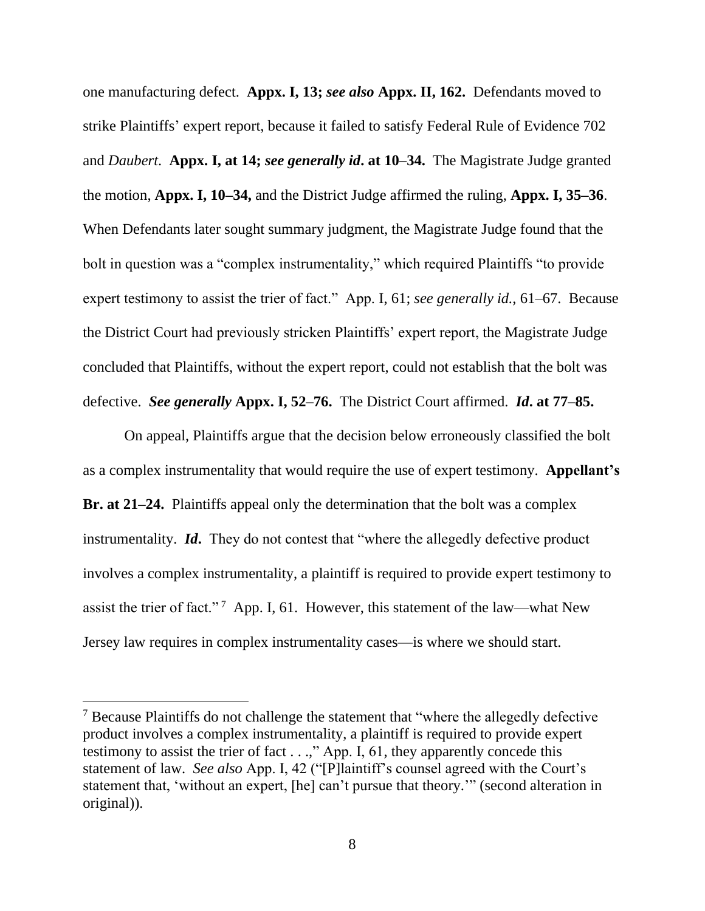one manufacturing defect. **Appx. I, 13;** *see also* **Appx. II, 162.** Defendants moved to strike Plaintiffs' expert report, because it failed to satisfy Federal Rule of Evidence 702 and *Daubert*. **Appx. I, at 14;** *see generally id***. at 10–34.** The Magistrate Judge granted the motion, **Appx. I, 10–34,** and the District Judge affirmed the ruling, **Appx. I, 35–36**. When Defendants later sought summary judgment, the Magistrate Judge found that the bolt in question was a "complex instrumentality," which required Plaintiffs "to provide expert testimony to assist the trier of fact." App. I, 61; *see generally id.*, 61–67. Because the District Court had previously stricken Plaintiffs' expert report, the Magistrate Judge concluded that Plaintiffs, without the expert report, could not establish that the bolt was defective. *See generally* **Appx. I, 52–76.** The District Court affirmed. *Id***. at 77–85.**

On appeal, Plaintiffs argue that the decision below erroneously classified the bolt as a complex instrumentality that would require the use of expert testimony. **Appellant's Br. at 21–24.** Plaintiffs appeal only the determination that the bolt was a complex instrumentality. *Id***.** They do not contest that "where the allegedly defective product involves a complex instrumentality, a plaintiff is required to provide expert testimony to assist the trier of fact."<sup>7</sup> App. I, 61. However, this statement of the law—what New Jersey law requires in complex instrumentality cases—is where we should start.

<sup>&</sup>lt;sup>7</sup> Because Plaintiffs do not challenge the statement that "where the allegedly defective" product involves a complex instrumentality, a plaintiff is required to provide expert testimony to assist the trier of fact . . .," App. I, 61, they apparently concede this statement of law. *See also* App. I, 42 ("[P]laintiff's counsel agreed with the Court's statement that, 'without an expert, [he] can't pursue that theory.'" (second alteration in original)).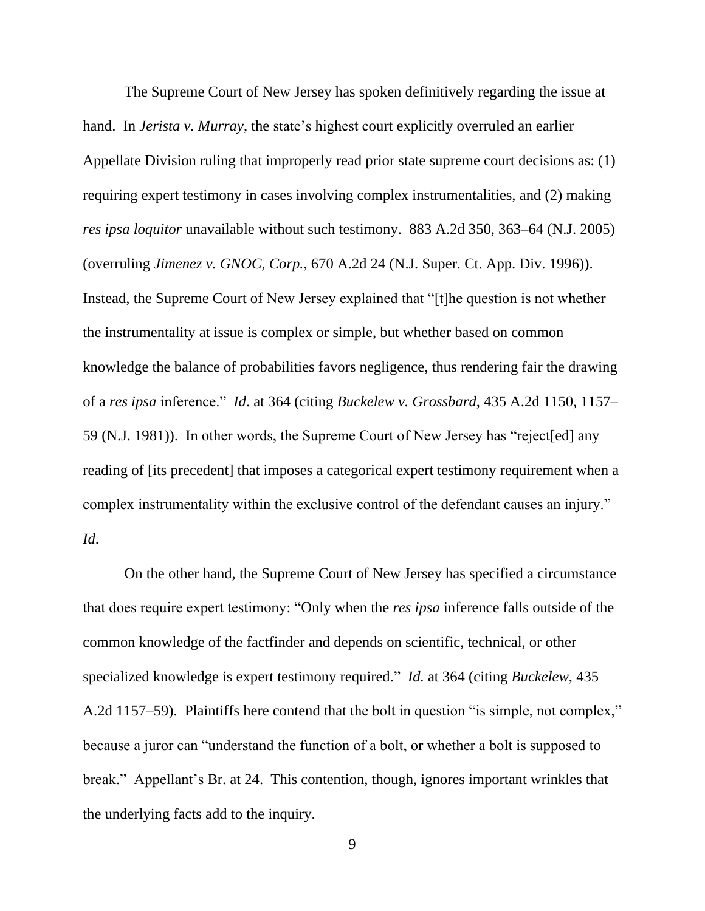The Supreme Court of New Jersey has spoken definitively regarding the issue at hand. In *Jerista v. Murray*, the state's highest court explicitly overruled an earlier Appellate Division ruling that improperly read prior state supreme court decisions as: (1) requiring expert testimony in cases involving complex instrumentalities, and (2) making *res ipsa loquitor* unavailable without such testimony. 883 A.2d 350, 363–64 (N.J. 2005) (overruling *Jimenez v. GNOC, Corp.*, 670 A.2d 24 (N.J. Super. Ct. App. Div. 1996)). Instead, the Supreme Court of New Jersey explained that "[t]he question is not whether the instrumentality at issue is complex or simple, but whether based on common knowledge the balance of probabilities favors negligence, thus rendering fair the drawing of a *res ipsa* inference." *Id*. at 364 (citing *Buckelew v. Grossbard*, 435 A.2d 1150, 1157– 59 (N.J. 1981)). In other words, the Supreme Court of New Jersey has "reject[ed] any reading of [its precedent] that imposes a categorical expert testimony requirement when a complex instrumentality within the exclusive control of the defendant causes an injury." *Id*.

On the other hand, the Supreme Court of New Jersey has specified a circumstance that does require expert testimony: "Only when the *res ipsa* inference falls outside of the common knowledge of the factfinder and depends on scientific, technical, or other specialized knowledge is expert testimony required." *Id.* at 364 (citing *Buckelew*, 435 A.2d 1157–59). Plaintiffs here contend that the bolt in question "is simple, not complex," because a juror can "understand the function of a bolt, or whether a bolt is supposed to break." Appellant's Br. at 24. This contention, though, ignores important wrinkles that the underlying facts add to the inquiry.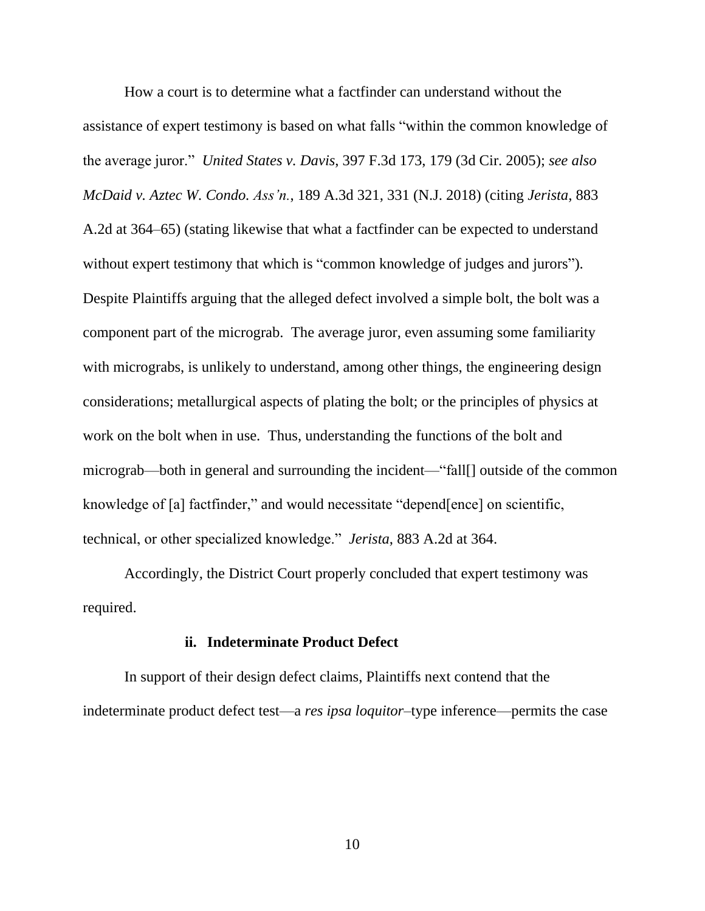How a court is to determine what a factfinder can understand without the assistance of expert testimony is based on what falls "within the common knowledge of the average juror." *United States v. Davis*, 397 F.3d 173, 179 (3d Cir. 2005); *see also McDaid v. Aztec W. Condo. Ass'n.*, 189 A.3d 321, 331 (N.J. 2018) (citing *Jerista*, 883 A.2d at 364–65) (stating likewise that what a factfinder can be expected to understand without expert testimony that which is "common knowledge of judges and jurors"). Despite Plaintiffs arguing that the alleged defect involved a simple bolt, the bolt was a component part of the micrograb. The average juror, even assuming some familiarity with micrograbs, is unlikely to understand, among other things, the engineering design considerations; metallurgical aspects of plating the bolt; or the principles of physics at work on the bolt when in use. Thus, understanding the functions of the bolt and micrograb—both in general and surrounding the incident—"fall[] outside of the common knowledge of [a] factfinder," and would necessitate "depend[ence] on scientific, technical, or other specialized knowledge." *Jerista*, 883 A.2d at 364.

Accordingly, the District Court properly concluded that expert testimony was required.

#### **ii. Indeterminate Product Defect**

In support of their design defect claims, Plaintiffs next contend that the indeterminate product defect test—a *res ipsa loquitor*–type inference—permits the case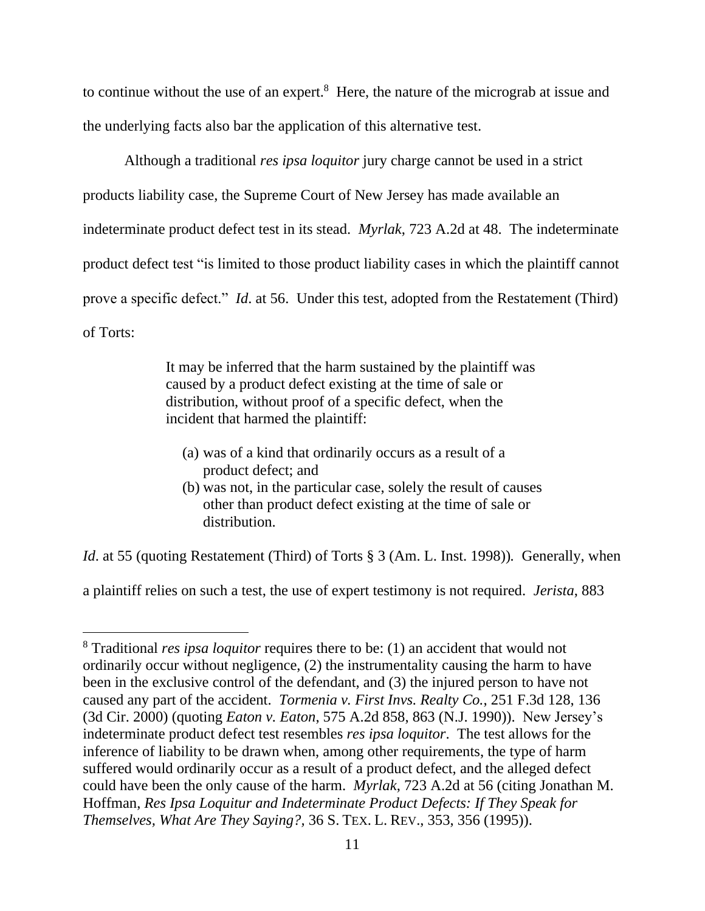to continue without the use of an expert. $8$  Here, the nature of the micrograb at issue and the underlying facts also bar the application of this alternative test.

Although a traditional *res ipsa loquitor* jury charge cannot be used in a strict products liability case, the Supreme Court of New Jersey has made available an indeterminate product defect test in its stead. *Myrlak*, 723 A.2d at 48. The indeterminate product defect test "is limited to those product liability cases in which the plaintiff cannot prove a specific defect." *Id*. at 56. Under this test, adopted from the Restatement (Third) of Torts:

> It may be inferred that the harm sustained by the plaintiff was caused by a product defect existing at the time of sale or distribution, without proof of a specific defect, when the incident that harmed the plaintiff:

- (a) was of a kind that ordinarily occurs as a result of a product defect; and
- (b) was not, in the particular case, solely the result of causes other than product defect existing at the time of sale or distribution.

*Id.* at 55 (quoting Restatement (Third) of Torts § 3 (Am. L. Inst. 1998)). Generally, when

a plaintiff relies on such a test, the use of expert testimony is not required. *Jerista*, 883

<sup>8</sup> Traditional *res ipsa loquitor* requires there to be: (1) an accident that would not ordinarily occur without negligence, (2) the instrumentality causing the harm to have been in the exclusive control of the defendant, and (3) the injured person to have not caused any part of the accident. *Tormenia v. First Invs. Realty Co.*, 251 F.3d 128, 136 (3d Cir. 2000) (quoting *Eaton v. Eaton*, 575 A.2d 858, 863 (N.J. 1990)). New Jersey's indeterminate product defect test resembles *res ipsa loquitor*. The test allows for the inference of liability to be drawn when, among other requirements, the type of harm suffered would ordinarily occur as a result of a product defect, and the alleged defect could have been the only cause of the harm. *Myrlak*, 723 A.2d at 56 (citing Jonathan M. Hoffman, *Res Ipsa Loquitur and Indeterminate Product Defects: If They Speak for Themselves, What Are They Saying?,* 36 S. TEX. L. REV., 353, 356 (1995)).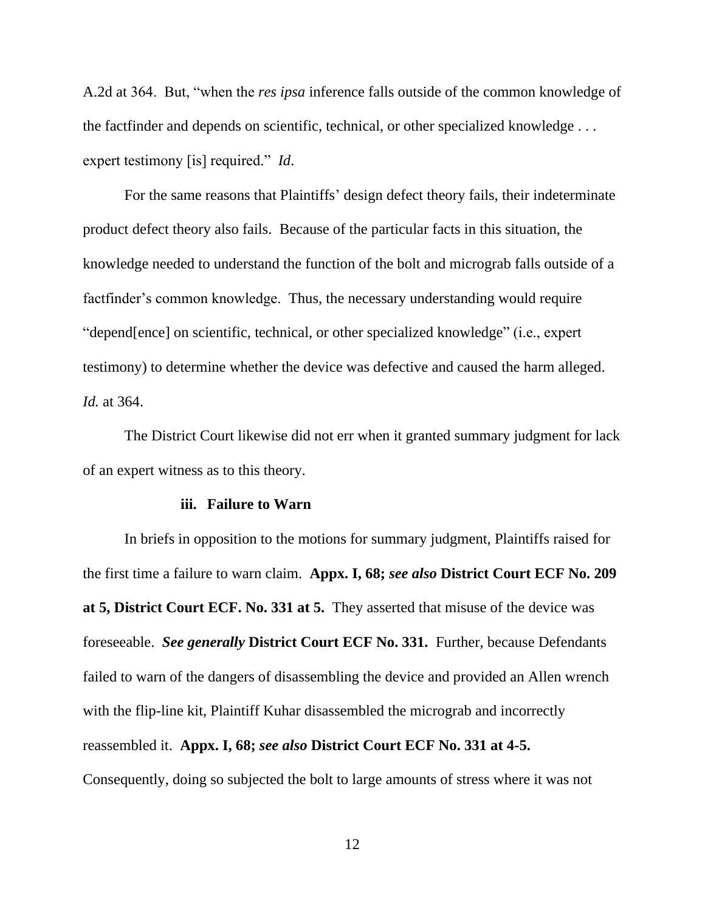A.2d at 364. But, "when the *res ipsa* inference falls outside of the common knowledge of the factfinder and depends on scientific, technical, or other specialized knowledge . . . expert testimony [is] required." *Id*.

For the same reasons that Plaintiffs' design defect theory fails, their indeterminate product defect theory also fails. Because of the particular facts in this situation, the knowledge needed to understand the function of the bolt and micrograb falls outside of a factfinder's common knowledge. Thus, the necessary understanding would require "depend[ence] on scientific, technical, or other specialized knowledge" (i.e., expert testimony) to determine whether the device was defective and caused the harm alleged. *Id.* at 364.

The District Court likewise did not err when it granted summary judgment for lack of an expert witness as to this theory.

#### **iii. Failure to Warn**

In briefs in opposition to the motions for summary judgment, Plaintiffs raised for the first time a failure to warn claim. **Appx. I, 68;** *see also* **District Court ECF No. 209 at 5, District Court ECF. No. 331 at 5.** They asserted that misuse of the device was foreseeable. *See generally* **District Court ECF No. 331.** Further, because Defendants failed to warn of the dangers of disassembling the device and provided an Allen wrench with the flip-line kit, Plaintiff Kuhar disassembled the micrograb and incorrectly reassembled it. **Appx. I, 68;** *see also* **District Court ECF No. 331 at 4-5.**  Consequently, doing so subjected the bolt to large amounts of stress where it was not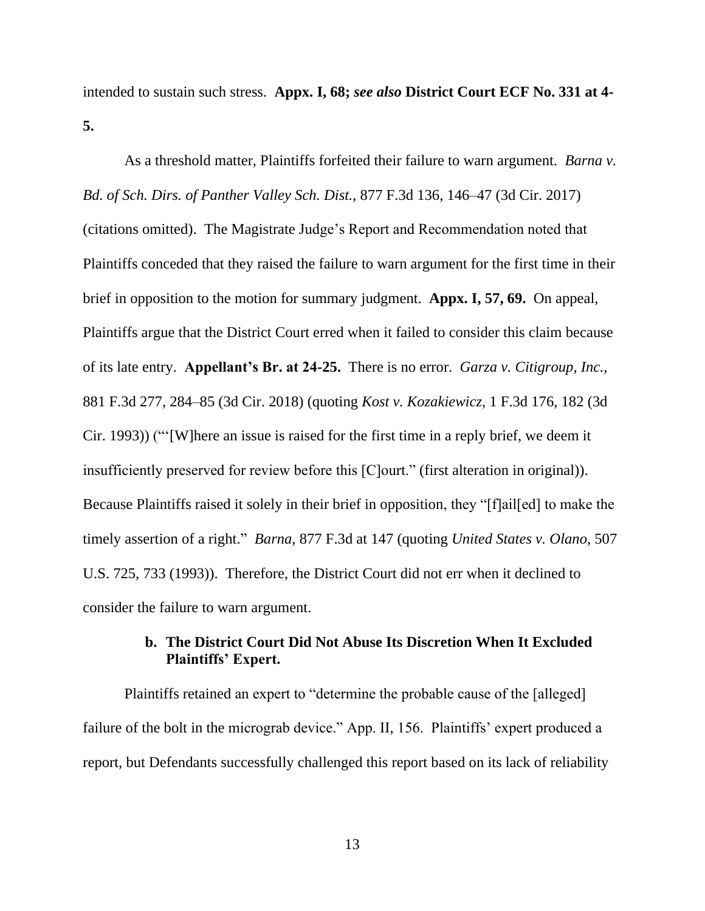intended to sustain such stress. **Appx. I, 68;** *see also* **District Court ECF No. 331 at 4- 5.**

As a threshold matter, Plaintiffs forfeited their failure to warn argument. *Barna v. Bd. of Sch. Dirs. of Panther Valley Sch. Dist.*, 877 F.3d 136, 146–47 (3d Cir. 2017) (citations omitted). The Magistrate Judge's Report and Recommendation noted that Plaintiffs conceded that they raised the failure to warn argument for the first time in their brief in opposition to the motion for summary judgment. **Appx. I, 57, 69.** On appeal, Plaintiffs argue that the District Court erred when it failed to consider this claim because of its late entry. **Appellant's Br. at 24-25.** There is no error. *Garza v. Citigroup, Inc.*, 881 F.3d 277, 284–85 (3d Cir. 2018) (quoting *Kost v. Kozakiewicz*, 1 F.3d 176, 182 (3d Cir. 1993)) ("'[W]here an issue is raised for the first time in a reply brief, we deem it insufficiently preserved for review before this [C]ourt." (first alteration in original)). Because Plaintiffs raised it solely in their brief in opposition, they "[f]ail[ed] to make the timely assertion of a right." *Barna*, 877 F.3d at 147 (quoting *United States v. Olano*, 507 U.S. 725, 733 (1993)). Therefore, the District Court did not err when it declined to consider the failure to warn argument.

# **b. The District Court Did Not Abuse Its Discretion When It Excluded Plaintiffs' Expert.**

Plaintiffs retained an expert to "determine the probable cause of the [alleged] failure of the bolt in the micrograb device." App. II, 156. Plaintiffs' expert produced a report, but Defendants successfully challenged this report based on its lack of reliability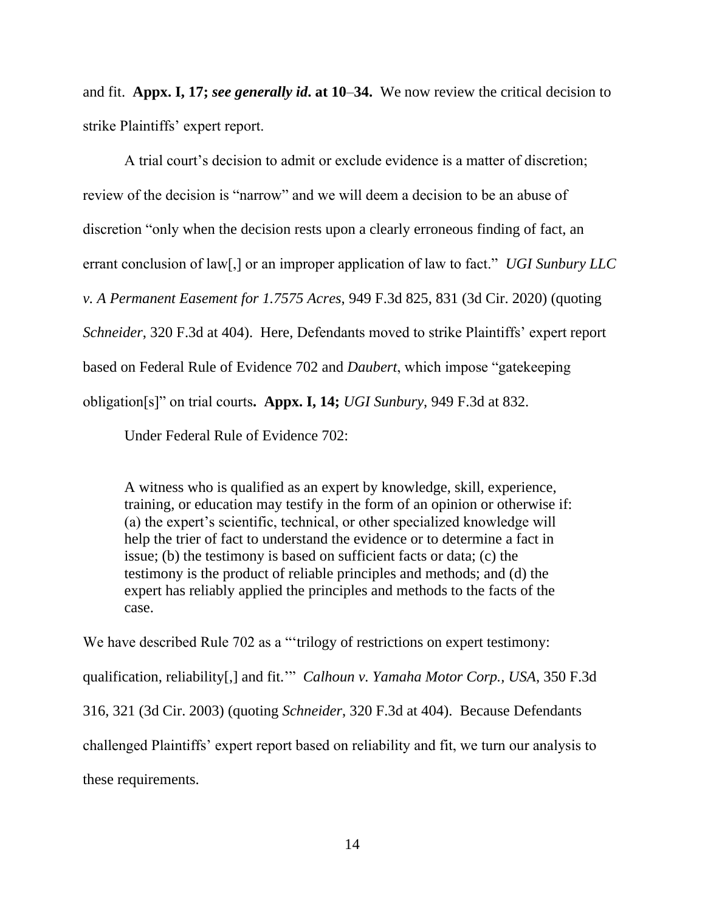and fit. **Appx. I, 17;** *see generally id***. at 10**–**34.** We now review the critical decision to strike Plaintiffs' expert report.

A trial court's decision to admit or exclude evidence is a matter of discretion; review of the decision is "narrow" and we will deem a decision to be an abuse of discretion "only when the decision rests upon a clearly erroneous finding of fact, an errant conclusion of law[,] or an improper application of law to fact." *UGI Sunbury LLC v. A Permanent Easement for 1.7575 Acres*, 949 F.3d 825, 831 (3d Cir. 2020) (quoting *Schneider*, 320 F.3d at 404). Here, Defendants moved to strike Plaintiffs' expert report based on Federal Rule of Evidence 702 and *Daubert*, which impose "gatekeeping obligation[s]" on trial courts**. Appx. I, 14;** *UGI Sunbury*, 949 F.3d at 832.

Under Federal Rule of Evidence 702:

A witness who is qualified as an expert by knowledge, skill, experience, training, or education may testify in the form of an opinion or otherwise if: (a) the expert's scientific, technical, or other specialized knowledge will help the trier of fact to understand the evidence or to determine a fact in issue; (b) the testimony is based on sufficient facts or data; (c) the testimony is the product of reliable principles and methods; and (d) the expert has reliably applied the principles and methods to the facts of the case.

We have described Rule 702 as a "trilogy of restrictions on expert testimony: qualification, reliability[,] and fit.'" *Calhoun v. Yamaha Motor Corp., USA*, 350 F.3d 316, 321 (3d Cir. 2003) (quoting *Schneider*, 320 F.3d at 404). Because Defendants challenged Plaintiffs' expert report based on reliability and fit, we turn our analysis to these requirements.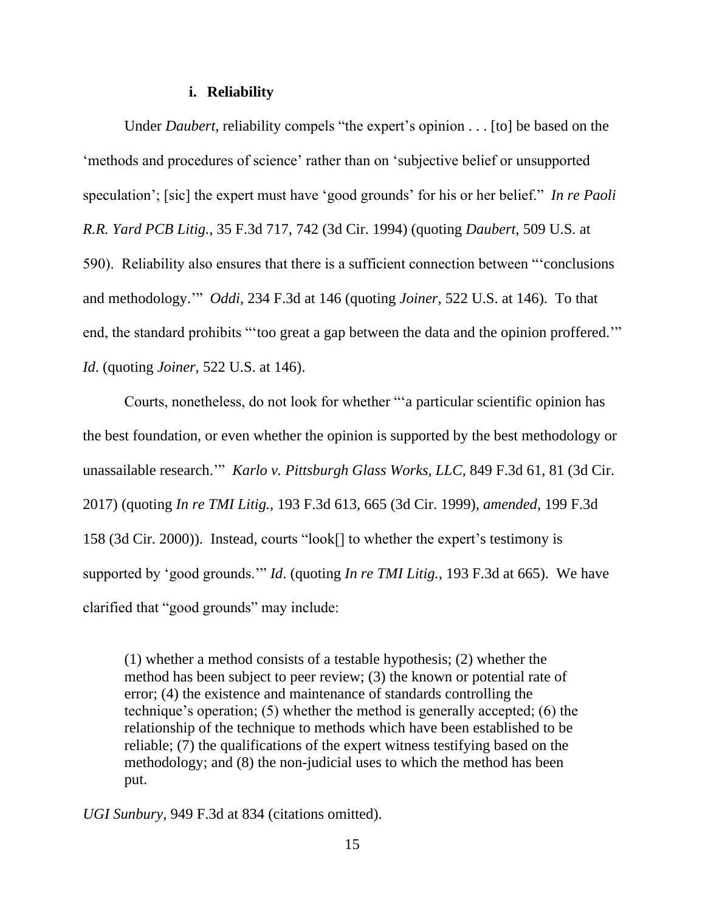#### **i. Reliability**

Under *Daubert*, reliability compels "the expert's opinion . . . [to] be based on the 'methods and procedures of science' rather than on 'subjective belief or unsupported speculation'; [sic] the expert must have 'good grounds' for his or her belief." *In re Paoli R.R. Yard PCB Litig.*, 35 F.3d 717, 742 (3d Cir. 1994) (quoting *Daubert*, 509 U.S. at 590). Reliability also ensures that there is a sufficient connection between "'conclusions and methodology.'" *Oddi*, 234 F.3d at 146 (quoting *Joiner*, 522 U.S. at 146). To that end, the standard prohibits "'too great a gap between the data and the opinion proffered.'" *Id*. (quoting *Joiner*, 522 U.S. at 146).

Courts, nonetheless, do not look for whether "'a particular scientific opinion has the best foundation, or even whether the opinion is supported by the best methodology or unassailable research.'" *Karlo v. Pittsburgh Glass Works, LLC*, 849 F.3d 61, 81 (3d Cir. 2017) (quoting *In re TMI Litig.*, 193 F.3d 613, 665 (3d Cir. 1999), *amended*, 199 F.3d 158 (3d Cir. 2000)). Instead, courts "look[] to whether the expert's testimony is supported by 'good grounds.'" *Id*. (quoting *In re TMI Litig.*, 193 F.3d at 665). We have clarified that "good grounds" may include:

(1) whether a method consists of a testable hypothesis; (2) whether the method has been subject to peer review; (3) the known or potential rate of error; (4) the existence and maintenance of standards controlling the technique's operation; (5) whether the method is generally accepted; (6) the relationship of the technique to methods which have been established to be reliable; (7) the qualifications of the expert witness testifying based on the methodology; and (8) the non-judicial uses to which the method has been put.

*UGI Sunbury*, 949 F.3d at 834 (citations omitted).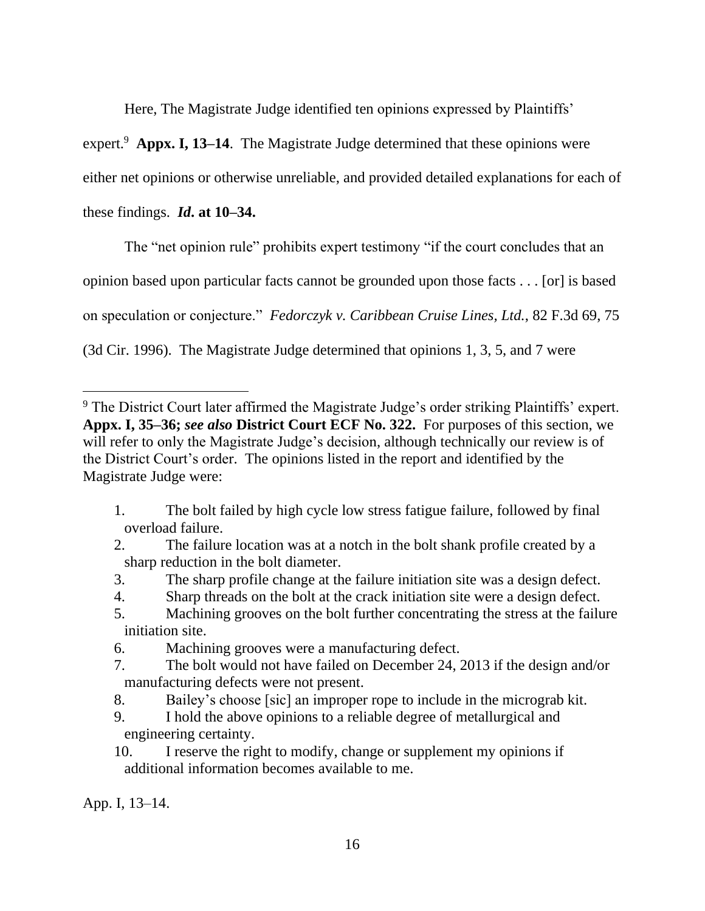Here, The Magistrate Judge identified ten opinions expressed by Plaintiffs'

expert.<sup>9</sup> Appx. I, 13–14. The Magistrate Judge determined that these opinions were

either net opinions or otherwise unreliable, and provided detailed explanations for each of

these findings. *Id***. at 10–34.**

The "net opinion rule" prohibits expert testimony "if the court concludes that an

opinion based upon particular facts cannot be grounded upon those facts . . . [or] is based

on speculation or conjecture." *Fedorczyk v. Caribbean Cruise Lines, Ltd.*, 82 F.3d 69, 75

(3d Cir. 1996). The Magistrate Judge determined that opinions 1, 3, 5, and 7 were

- 1. The bolt failed by high cycle low stress fatigue failure, followed by final overload failure.
- 2. The failure location was at a notch in the bolt shank profile created by a sharp reduction in the bolt diameter.
- 3. The sharp profile change at the failure initiation site was a design defect.
- 4. Sharp threads on the bolt at the crack initiation site were a design defect.
- 5. Machining grooves on the bolt further concentrating the stress at the failure initiation site.
- 6. Machining grooves were a manufacturing defect.
- 7. The bolt would not have failed on December 24, 2013 if the design and/or manufacturing defects were not present.
- 8. Bailey's choose [sic] an improper rope to include in the micrograb kit.
- 9. I hold the above opinions to a reliable degree of metallurgical and engineering certainty.
- 10. I reserve the right to modify, change or supplement my opinions if additional information becomes available to me.

App. I, 13–14.

<sup>&</sup>lt;sup>9</sup> The District Court later affirmed the Magistrate Judge's order striking Plaintiffs' expert. **Appx. I, 35–36;** *see also* **District Court ECF No. 322.** For purposes of this section, we will refer to only the Magistrate Judge's decision, although technically our review is of the District Court's order. The opinions listed in the report and identified by the Magistrate Judge were: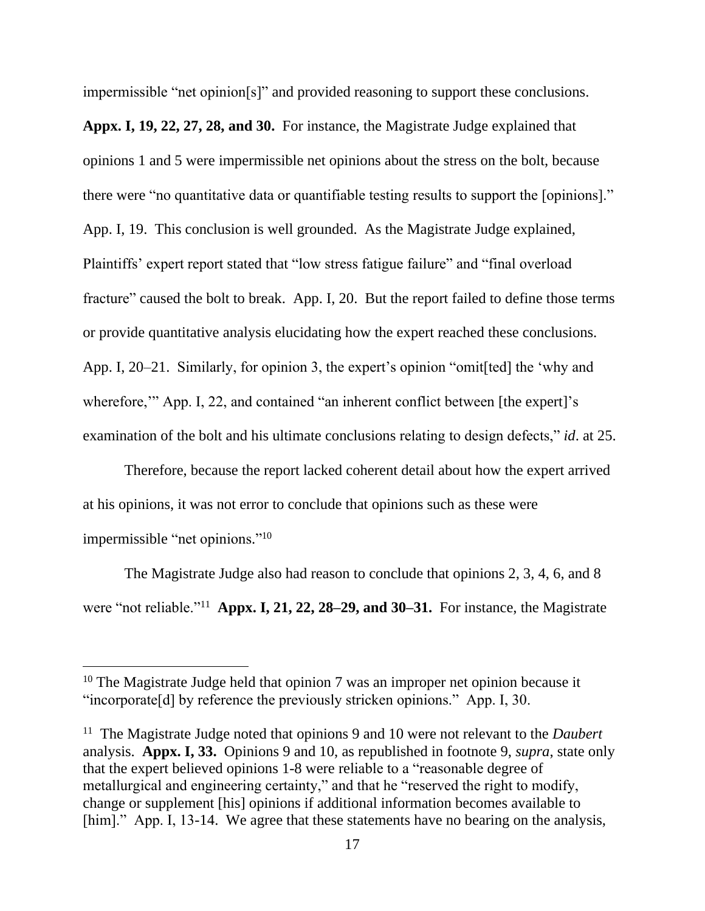impermissible "net opinion[s]" and provided reasoning to support these conclusions.

**Appx. I, 19, 22, 27, 28, and 30.** For instance, the Magistrate Judge explained that opinions 1 and 5 were impermissible net opinions about the stress on the bolt, because there were "no quantitative data or quantifiable testing results to support the [opinions]." App. I, 19.This conclusion is well grounded. As the Magistrate Judge explained, Plaintiffs' expert report stated that "low stress fatigue failure" and "final overload fracture" caused the bolt to break. App. I, 20. But the report failed to define those terms or provide quantitative analysis elucidating how the expert reached these conclusions. App. I, 20–21. Similarly, for opinion 3, the expert's opinion "omit[ted] the 'why and wherefore," App. I, 22, and contained "an inherent conflict between [the expert]'s examination of the bolt and his ultimate conclusions relating to design defects," *id*. at 25.

Therefore, because the report lacked coherent detail about how the expert arrived at his opinions, it was not error to conclude that opinions such as these were impermissible "net opinions."<sup>10</sup>

The Magistrate Judge also had reason to conclude that opinions 2, 3, 4, 6, and 8 were "not reliable."<sup>11</sup> **Appx. I, 21, 22, 28–29, and 30–31.** For instance, the Magistrate

 $10$  The Magistrate Judge held that opinion 7 was an improper net opinion because it "incorporate[d] by reference the previously stricken opinions." App. I, 30.

<sup>&</sup>lt;sup>11</sup> The Magistrate Judge noted that opinions 9 and 10 were not relevant to the *Daubert* analysis. **Appx. I, 33.** Opinions 9 and 10, as republished in footnote 9, *supra*, state only that the expert believed opinions 1-8 were reliable to a "reasonable degree of metallurgical and engineering certainty," and that he "reserved the right to modify, change or supplement [his] opinions if additional information becomes available to [him]." App. I, 13-14. We agree that these statements have no bearing on the analysis,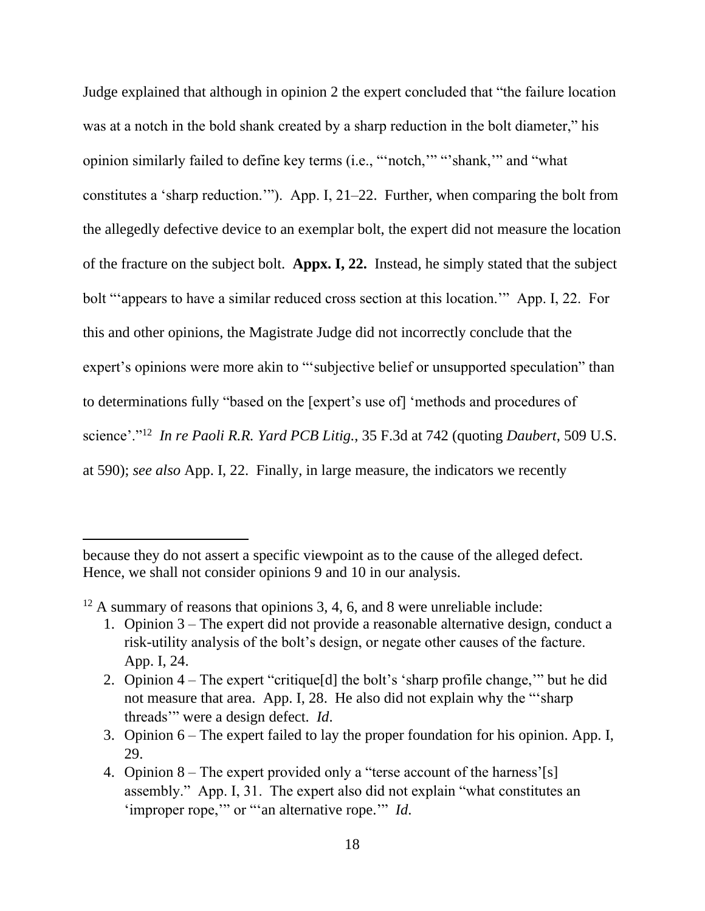Judge explained that although in opinion 2 the expert concluded that "the failure location was at a notch in the bold shank created by a sharp reduction in the bolt diameter," his opinion similarly failed to define key terms (i.e., "'notch,'" "'shank,'" and "what constitutes a 'sharp reduction.'"). App. I, 21–22. Further, when comparing the bolt from the allegedly defective device to an exemplar bolt, the expert did not measure the location of the fracture on the subject bolt. **Appx. I, 22.** Instead, he simply stated that the subject bolt "'appears to have a similar reduced cross section at this location.'" App. I, 22. For this and other opinions, the Magistrate Judge did not incorrectly conclude that the expert's opinions were more akin to "subjective belief or unsupported speculation" than to determinations fully "based on the [expert's use of] 'methods and procedures of science'."<sup>12</sup> *In re Paoli R.R. Yard PCB Litig.*, 35 F.3d at 742 (quoting *Daubert*, 509 U.S. at 590); *see also* App. I, 22. Finally, in large measure, the indicators we recently

 $12$  A summary of reasons that opinions 3, 4, 6, and 8 were unreliable include:

because they do not assert a specific viewpoint as to the cause of the alleged defect. Hence, we shall not consider opinions 9 and 10 in our analysis.

<sup>1.</sup> Opinion 3 – The expert did not provide a reasonable alternative design, conduct a risk-utility analysis of the bolt's design, or negate other causes of the facture. App. I, 24.

<sup>2.</sup> Opinion 4 – The expert "critique[d] the bolt's 'sharp profile change,'" but he did not measure that area. App. I, 28. He also did not explain why the "'sharp threads'" were a design defect. *Id*.

<sup>3.</sup> Opinion 6 – The expert failed to lay the proper foundation for his opinion. App. I, 29.

<sup>4.</sup> Opinion 8 – The expert provided only a "terse account of the harness'[s] assembly." App. I, 31. The expert also did not explain "what constitutes an 'improper rope,'" or "'an alternative rope.'" *Id*.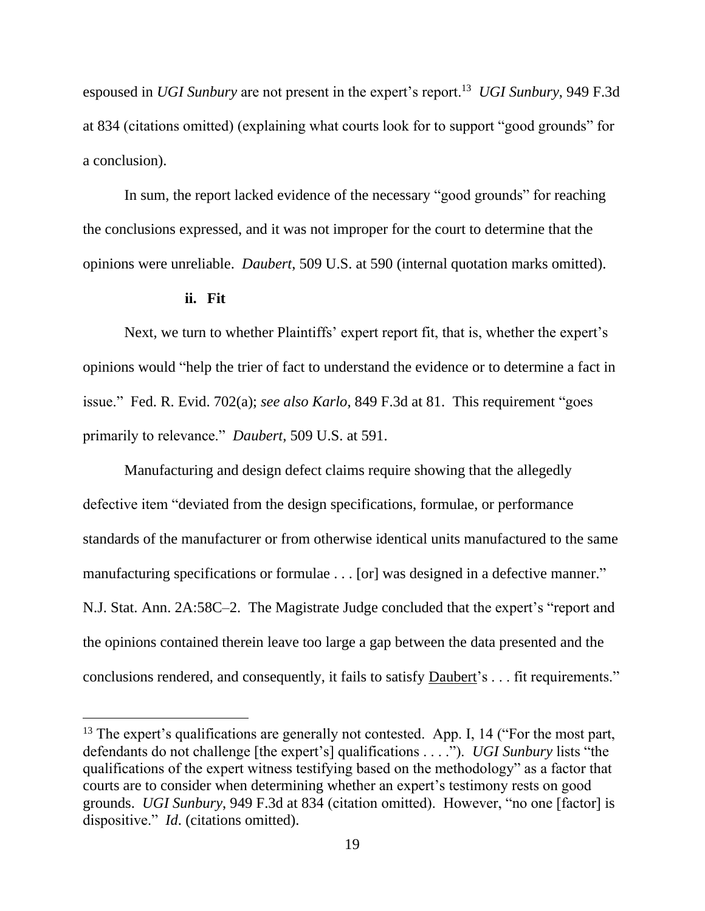espoused in *UGI Sunbury* are not present in the expert's report.<sup>13</sup> *UGI Sunbury*, 949 F.3d at 834 (citations omitted) (explaining what courts look for to support "good grounds" for a conclusion).

In sum, the report lacked evidence of the necessary "good grounds" for reaching the conclusions expressed, and it was not improper for the court to determine that the opinions were unreliable. *Daubert*, 509 U.S. at 590 (internal quotation marks omitted).

#### **ii. Fit**

Next, we turn to whether Plaintiffs' expert report fit, that is, whether the expert's opinions would "help the trier of fact to understand the evidence or to determine a fact in issue." Fed. R. Evid. 702(a); *see also Karlo*, 849 F.3d at 81. This requirement "goes primarily to relevance." *Daubert*, 509 U.S. at 591.

Manufacturing and design defect claims require showing that the allegedly defective item "deviated from the design specifications, formulae, or performance standards of the manufacturer or from otherwise identical units manufactured to the same manufacturing specifications or formulae . . . [or] was designed in a defective manner." N.J. Stat. Ann. 2A:58C–2. The Magistrate Judge concluded that the expert's "report and the opinions contained therein leave too large a gap between the data presented and the conclusions rendered, and consequently, it fails to satisfy Daubert's . . . fit requirements."

 $13$  The expert's qualifications are generally not contested. App. I, 14 ("For the most part, defendants do not challenge [the expert's] qualifications . . . ."). *UGI Sunbury* lists "the qualifications of the expert witness testifying based on the methodology" as a factor that courts are to consider when determining whether an expert's testimony rests on good grounds. *UGI Sunbury*, 949 F.3d at 834 (citation omitted). However, "no one [factor] is dispositive." *Id*. (citations omitted).